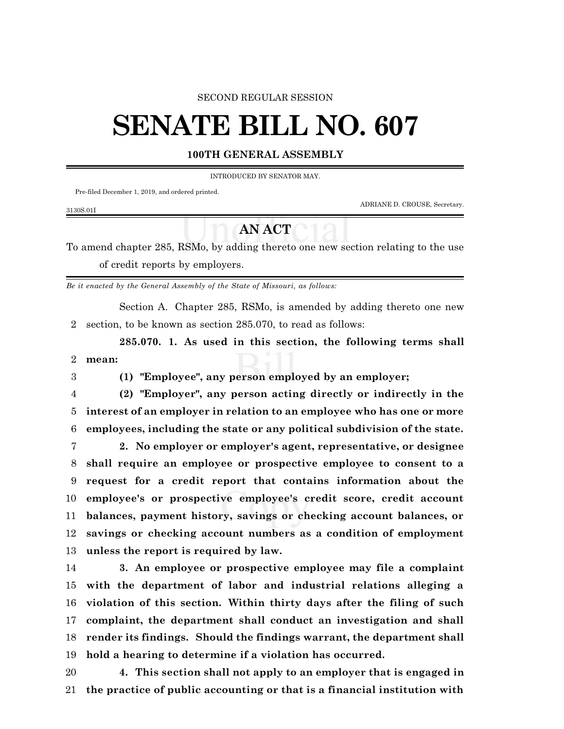#### SECOND REGULAR SESSION

# **SENATE BILL NO. 607**

### **100TH GENERAL ASSEMBLY**

#### INTRODUCED BY SENATOR MAY.

Pre-filed December 1, 2019, and ordered printed.

ADRIANE D. CROUSE, Secretary.

#### 3130S.01I

## **AN ACT**

To amend chapter 285, RSMo, by adding thereto one new section relating to the use of credit reports by employers.

*Be it enacted by the General Assembly of the State of Missouri, as follows:*

Section A. Chapter 285, RSMo, is amended by adding thereto one new section, to be known as section 285.070, to read as follows:

**285.070. 1. As used in this section, the following terms shall mean:**

**(1) "Employee", any person employed by an employer;**

 **(2) "Employer", any person acting directly or indirectly in the interest of an employer in relation to an employee who has one or more employees, including the state or any political subdivision of the state.**

 **2. No employer or employer's agent, representative, or designee shall require an employee or prospective employee to consent to a request for a credit report that contains information about the employee's or prospective employee's credit score, credit account balances, payment history, savings or checking account balances, or savings or checking account numbers as a condition of employment unless the report is required by law.**

 **3. An employee or prospective employee may file a complaint with the department of labor and industrial relations alleging a violation of this section. Within thirty days after the filing of such complaint, the department shall conduct an investigation and shall render its findings. Should the findings warrant, the department shall hold a hearing to determine if a violation has occurred.**

 **4. This section shall not apply to an employer that is engaged in the practice of public accounting or that is a financial institution with**